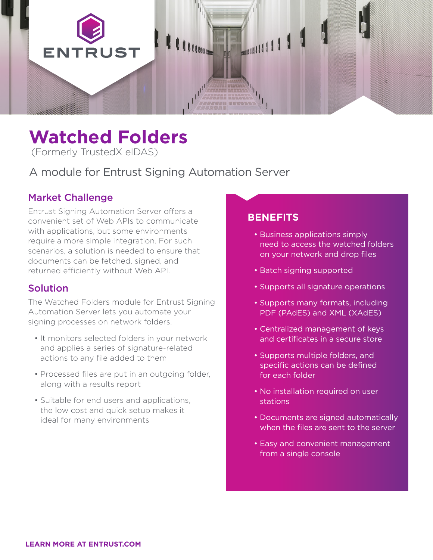

# **Watched Folders**

(Formerly TrustedX eIDAS)

A module for Entrust Signing Automation Server

# Market Challenge

Entrust Signing Automation Server offers a convenient set of Web APIs to communicate with applications, but some environments require a more simple integration. For such scenarios, a solution is needed to ensure that documents can be fetched, signed, and returned efficiently without Web API.

## Solution

The Watched Folders module for Entrust Signing Automation Server lets you automate your signing processes on network folders.

- It monitors selected folders in your network and applies a series of signature-related actions to any file added to them
- Processed files are put in an outgoing folder, along with a results report
- Suitable for end users and applications, the low cost and quick setup makes it ideal for many environments

## **BENEFITS**

- Business applications simply need to access the watched folders on your network and drop files
- Batch signing supported
- Supports all signature operations
- Supports many formats, including PDF (PAdES) and XML (XAdES)
- Centralized management of keys and certificates in a secure store
- Supports multiple folders, and specific actions can be defined for each folder
- No installation required on user stations
- Documents are signed automatically when the files are sent to the server
- Easy and convenient management from a single console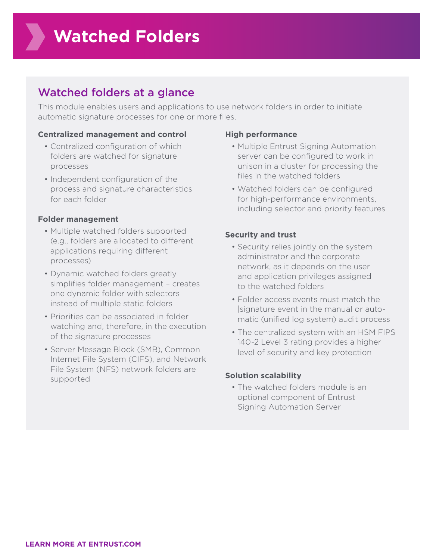# Watched folders at a glance

This module enables users and applications to use network folders in order to initiate automatic signature processes for one or more files.

#### **Centralized management and control**

- Centralized configuration of which folders are watched for signature processes
- Independent configuration of the process and signature characteristics for each folder

#### **Folder management**

- Multiple watched folders supported (e.g., folders are allocated to different applications requiring different processes)
- Dynamic watched folders greatly simplifies folder management – creates one dynamic folder with selectors instead of multiple static folders
- Priorities can be associated in folder watching and, therefore, in the execution of the signature processes
- Server Message Block (SMB), Common Internet File System (CIFS), and Network File System (NFS) network folders are supported

#### **High performance**

- Multiple Entrust Signing Automation server can be configured to work in unison in a cluster for processing the files in the watched folders
- Watched folders can be configured for high-performance environments, including selector and priority features

#### **Security and trust**

- Security relies jointly on the system administrator and the corporate network, as it depends on the user and application privileges assigned to the watched folders
- Folder access events must match the |signature event in the manual or automatic (unified log system) audit process
- The centralized system with an HSM FIPS 140-2 Level 3 rating provides a higher level of security and key protection

#### **Solution scalability**

• The watched folders module is an optional component of Entrust Signing Automation Server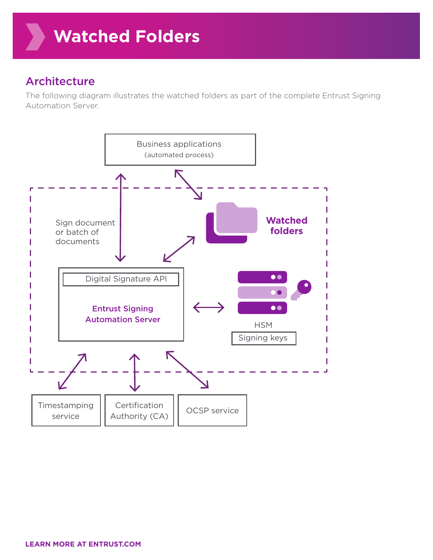# Architecture

The following diagram illustrates the watched folders as part of the complete Entrust Signing Automation Server.